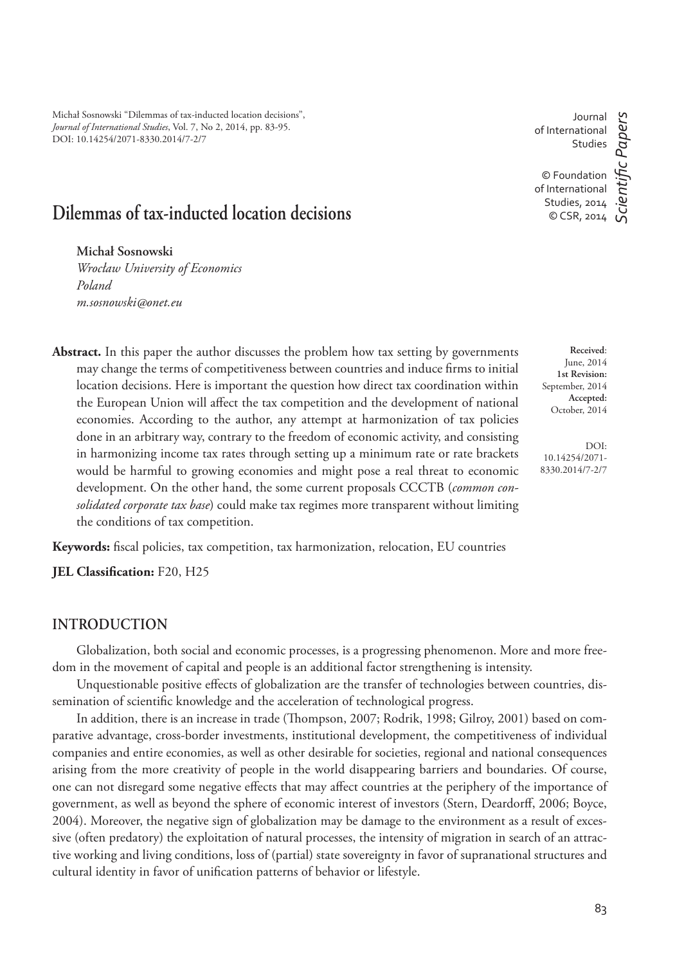Michał Sosnowski "Dilemmas of tax-inducted location decisions", *Journal of International Studies*, Vol. 7, No 2, 2014, pp. 83-95. DOI: 10.14254/2071-8330.2014/7-2/7

Journal of International Studies

© Foundation of International Studies, 2014 © CSR, 2014

*ScientiÞ c Papers*

cientific Papers

# **Dilemmas of tax-inducted location decisions**

**Michał Sosnowski**

*Wrocław University of Economics Poland m.sosnowski@onet.eu*

Abstract. In this paper the author discusses the problem how tax setting by governments may change the terms of competitiveness between countries and induce firms to initial location decisions. Here is important the question how direct tax coordination within the European Union will affect the tax competition and the development of national economies. According to the author, any attempt at harmonization of tax policies done in an arbitrary way, contrary to the freedom of economic activity, and consisting in harmonizing income tax rates through setting up a minimum rate or rate brackets would be harmful to growing economies and might pose a real threat to economic development. On the other hand, the some current proposals CCCTB (*common consolidated corporate tax base*) could make tax regimes more transparent without limiting the conditions of tax competition.

Keywords: fiscal policies, tax competition, tax harmonization, relocation, EU countries

**JEL Classification:** F20, H25

## **INTRODUCTION**

Globalization, both social and economic processes, is a progressing phenomenon. More and more freedom in the movement of capital and people is an additional factor strengthening is intensity.

Unquestionable positive effects of globalization are the transfer of technologies between countries, dissemination of scientific knowledge and the acceleration of technological progress.

In addition, there is an increase in trade (Thompson, 2007; Rodrik, 1998; Gilroy, 2001) based on comparative advantage, cross-border investments, institutional development, the competitiveness of individual companies and entire economies, as well as other desirable for societies, regional and national consequences arising from the more creativity of people in the world disappearing barriers and boundaries. Of course, one can not disregard some negative effects that may affect countries at the periphery of the importance of government, as well as beyond the sphere of economic interest of investors (Stern, Deardorff, 2006; Boyce, 2004). Moreover, the negative sign of globalization may be damage to the environment as a result of excessive (often predatory) the exploitation of natural processes, the intensity of migration in search of an attractive working and living conditions, loss of (partial) state sovereignty in favor of supranational structures and cultural identity in favor of unification patterns of behavior or lifestyle.

**Received**: June, 2014 **1st Revision:** September, 2014 **Accepted:** October, 2014

DOI: 10.14254/2071- 8330.2014/7-2/7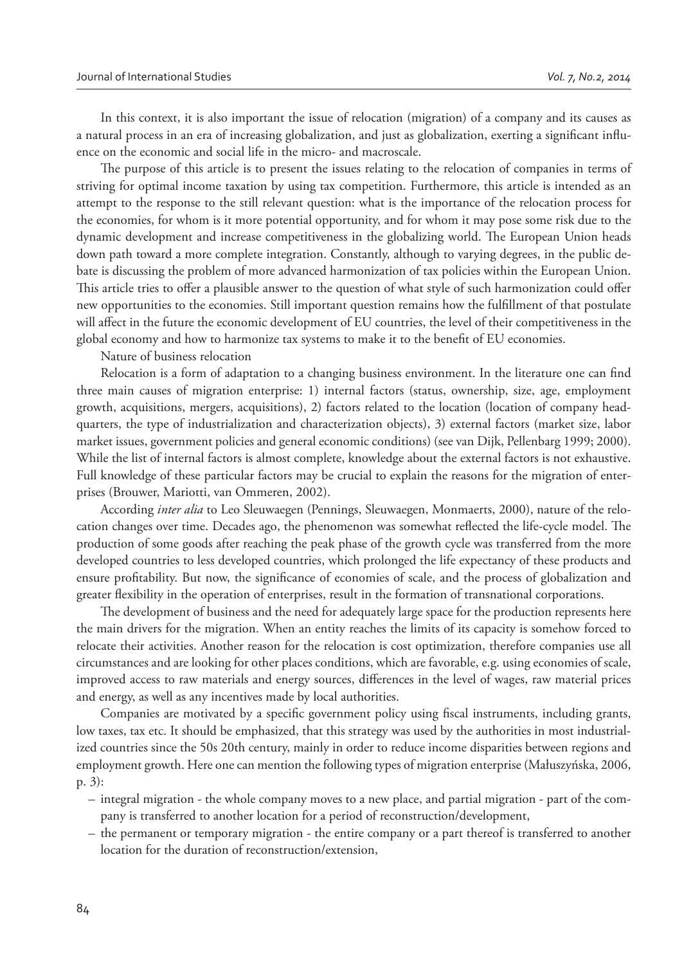In this context, it is also important the issue of relocation (migration) of a company and its causes as a natural process in an era of increasing globalization, and just as globalization, exerting a significant influence on the economic and social life in the micro- and macroscale.

The purpose of this article is to present the issues relating to the relocation of companies in terms of striving for optimal income taxation by using tax competition. Furthermore, this article is intended as an attempt to the response to the still relevant question: what is the importance of the relocation process for the economies, for whom is it more potential opportunity, and for whom it may pose some risk due to the dynamic development and increase competitiveness in the globalizing world. The European Union heads down path toward a more complete integration. Constantly, although to varying degrees, in the public debate is discussing the problem of more advanced harmonization of tax policies within the European Union. This article tries to offer a plausible answer to the question of what style of such harmonization could offer new opportunities to the economies. Still important question remains how the fulfillment of that postulate will affect in the future the economic development of EU countries, the level of their competitiveness in the global economy and how to harmonize tax systems to make it to the benefit of EU economies.

Nature of business relocation

Relocation is a form of adaptation to a changing business environment. In the literature one can find three main causes of migration enterprise: 1) internal factors (status, ownership, size, age, employment growth, acquisitions, mergers, acquisitions), 2) factors related to the location (location of company headquarters, the type of industrialization and characterization objects), 3) external factors (market size, labor market issues, government policies and general economic conditions) (see van Dijk, Pellenbarg 1999; 2000). While the list of internal factors is almost complete, knowledge about the external factors is not exhaustive. Full knowledge of these particular factors may be crucial to explain the reasons for the migration of enterprises (Brouwer, Mariotti, van Ommeren, 2002).

According *inter alia* to Leo Sleuwaegen (Pennings, Sleuwaegen, Monmaerts, 2000), nature of the relocation changes over time. Decades ago, the phenomenon was somewhat reflected the life-cycle model. The production of some goods after reaching the peak phase of the growth cycle was transferred from the more developed countries to less developed countries, which prolonged the life expectancy of these products and ensure profitability. But now, the significance of economies of scale, and the process of globalization and greater flexibility in the operation of enterprises, result in the formation of transnational corporations.

The development of business and the need for adequately large space for the production represents here the main drivers for the migration. When an entity reaches the limits of its capacity is somehow forced to relocate their activities. Another reason for the relocation is cost optimization, therefore companies use all circumstances and are looking for other places conditions, which are favorable, e.g. using economies of scale, improved access to raw materials and energy sources, differences in the level of wages, raw material prices and energy, as well as any incentives made by local authorities.

Companies are motivated by a specific government policy using fiscal instruments, including grants, low taxes, tax etc. It should be emphasized, that this strategy was used by the authorities in most industrialized countries since the 50s 20th century, mainly in order to reduce income disparities between regions and employment growth. Here one can mention the following types of migration enterprise (Małuszyńska, 2006, p. 3):

- integral migration the whole company moves to a new place, and partial migration part of the company is transferred to another location for a period of reconstruction/development,
- the permanent or temporary migration the entire company or a part thereof is transferred to another location for the duration of reconstruction/extension,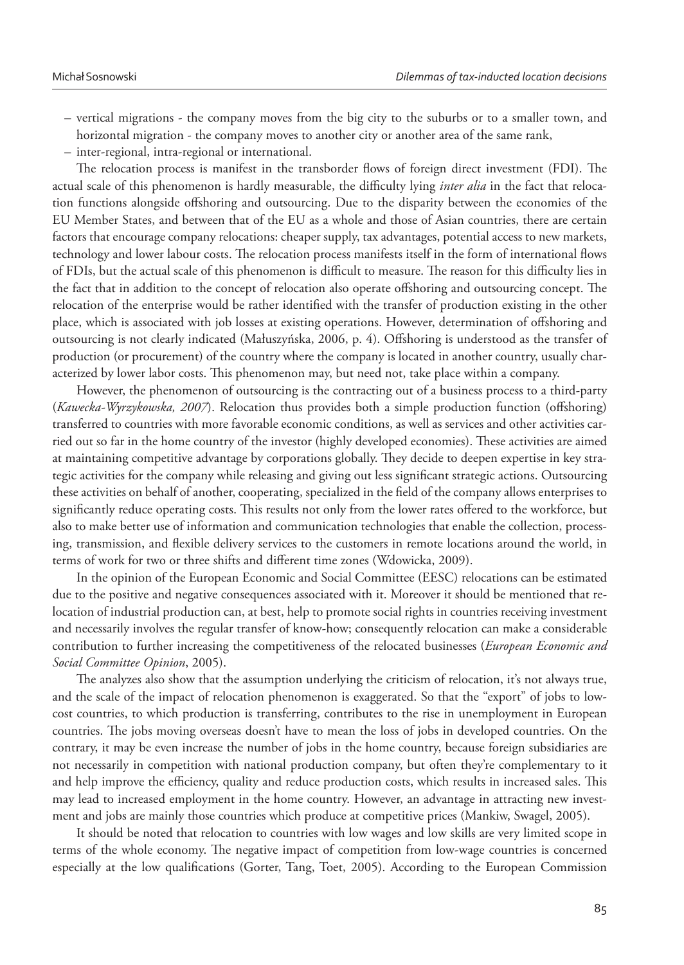- vertical migrations the company moves from the big city to the suburbs or to a smaller town, and horizontal migration - the company moves to another city or another area of the same rank,
- inter-regional, intra-regional or international.

The relocation process is manifest in the transborder flows of foreign direct investment (FDI). The actual scale of this phenomenon is hardly measurable, the difficulty lying *inter alia* in the fact that relocation functions alongside offshoring and outsourcing. Due to the disparity between the economies of the EU Member States, and between that of the EU as a whole and those of Asian countries, there are certain factors that encourage company relocations: cheaper supply, tax advantages, potential access to new markets, technology and lower labour costs. The relocation process manifests itself in the form of international flows of FDIs, but the actual scale of this phenomenon is difficult to measure. The reason for this difficulty lies in the fact that in addition to the concept of relocation also operate offshoring and outsourcing concept. The relocation of the enterprise would be rather identified with the transfer of production existing in the other place, which is associated with job losses at existing operations. However, determination of offshoring and outsourcing is not clearly indicated (Małuszyńska, 2006, p. 4). Offshoring is understood as the transfer of production (or procurement) of the country where the company is located in another country, usually characterized by lower labor costs. This phenomenon may, but need not, take place within a company.

However, the phenomenon of outsourcing is the contracting out of a business process to a third-party (*Kawecka-Wyrzykowska, 2007*). Relocation thus provides both a simple production function (offshoring) transferred to countries with more favorable economic conditions, as well as services and other activities carried out so far in the home country of the investor (highly developed economies). These activities are aimed at maintaining competitive advantage by corporations globally. They decide to deepen expertise in key strategic activities for the company while releasing and giving out less significant strategic actions. Outsourcing these activities on behalf of another, cooperating, specialized in the field of the company allows enterprises to significantly reduce operating costs. This results not only from the lower rates offered to the workforce, but also to make better use of information and communication technologies that enable the collection, processing, transmission, and flexible delivery services to the customers in remote locations around the world, in terms of work for two or three shifts and different time zones (Wdowicka, 2009).

In the opinion of the European Economic and Social Committee (EESC) relocations can be estimated due to the positive and negative consequences associated with it. Moreover it should be mentioned that relocation of industrial production can, at best, help to promote social rights in countries receiving investment and necessarily involves the regular transfer of know-how; consequently relocation can make a considerable contribution to further increasing the competitiveness of the relocated businesses (*European Economic and Social Committee Opinion*, 2005).

The analyzes also show that the assumption underlying the criticism of relocation, it's not always true, and the scale of the impact of relocation phenomenon is exaggerated. So that the "export" of jobs to lowcost countries, to which production is transferring, contributes to the rise in unemployment in European countries. The jobs moving overseas doesn't have to mean the loss of jobs in developed countries. On the contrary, it may be even increase the number of jobs in the home country, because foreign subsidiaries are not necessarily in competition with national production company, but often they're complementary to it and help improve the efficiency, quality and reduce production costs, which results in increased sales. This may lead to increased employment in the home country. However, an advantage in attracting new investment and jobs are mainly those countries which produce at competitive prices (Mankiw, Swagel, 2005).

It should be noted that relocation to countries with low wages and low skills are very limited scope in terms of the whole economy. The negative impact of competition from low-wage countries is concerned especially at the low qualifications (Gorter, Tang, Toet, 2005). According to the European Commission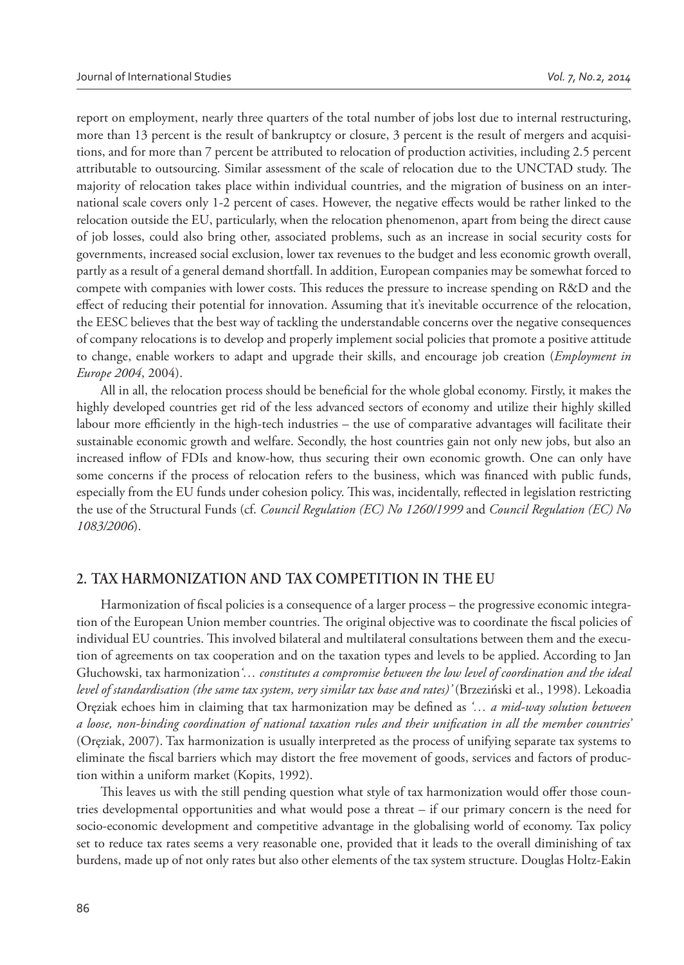report on employment, nearly three quarters of the total number of jobs lost due to internal restructuring, more than 13 percent is the result of bankruptcy or closure, 3 percent is the result of mergers and acquisitions, and for more than 7 percent be attributed to relocation of production activities, including 2.5 percent attributable to outsourcing. Similar assessment of the scale of relocation due to the UNCTAD study. The majority of relocation takes place within individual countries, and the migration of business on an international scale covers only 1-2 percent of cases. However, the negative effects would be rather linked to the relocation outside the EU, particularly, when the relocation phenomenon, apart from being the direct cause of job losses, could also bring other, associated problems, such as an increase in social security costs for governments, increased social exclusion, lower tax revenues to the budget and less economic growth overall, partly as a result of a general demand shortfall. In addition, European companies may be somewhat forced to compete with companies with lower costs. This reduces the pressure to increase spending on R&D and the effect of reducing their potential for innovation. Assuming that it's inevitable occurrence of the relocation, the EESC believes that the best way of tackling the understandable concerns over the negative consequences of company relocations is to develop and properly implement social policies that promote a positive attitude to change, enable workers to adapt and upgrade their skills, and encourage job creation (*Employment in Europe 2004*, 2004).

All in all, the relocation process should be beneficial for the whole global economy. Firstly, it makes the highly developed countries get rid of the less advanced sectors of economy and utilize their highly skilled labour more efficiently in the high-tech industries – the use of comparative advantages will facilitate their sustainable economic growth and welfare. Secondly, the host countries gain not only new jobs, but also an increased inflow of FDIs and know-how, thus securing their own economic growth. One can only have some concerns if the process of relocation refers to the business, which was financed with public funds, especially from the EU funds under cohesion policy. This was, incidentally, reflected in legislation restricting the use of the Structural Funds (cf. *Council Regulation (EC) No 1260/1999* and *Council Regulation (EC) No 1083/2006*).

## **2. TAX HARMONIZATION AND TAX COMPETITION IN THE EU**

Harmonization of fiscal policies is a consequence of a larger process – the progressive economic integration of the European Union member countries. The original objective was to coordinate the fiscal policies of individual EU countries. This involved bilateral and multilateral consultations between them and the execution of agreements on tax cooperation and on the taxation types and levels to be applied. According to Jan Głuchowski, tax harmonization*'… constitutes a compromise between the low level of coordination and the ideal level of standardisation (the same tax system, very similar tax base and rates)'* (Brzeziński et al., 1998). Lekoadia Oręziak echoes him in claiming that tax harmonization may be defined as '... a mid-way solution between *a loose, non-binding coordination of national taxation rules and their unification in all the member countries'* (Oręziak, 2007). Tax harmonization is usually interpreted as the process of unifying separate tax systems to eliminate the fiscal barriers which may distort the free movement of goods, services and factors of production within a uniform market (Kopits, 1992).

This leaves us with the still pending question what style of tax harmonization would offer those countries developmental opportunities and what would pose a threat – if our primary concern is the need for socio-economic development and competitive advantage in the globalising world of economy. Tax policy set to reduce tax rates seems a very reasonable one, provided that it leads to the overall diminishing of tax burdens, made up of not only rates but also other elements of the tax system structure. Douglas Holtz-Eakin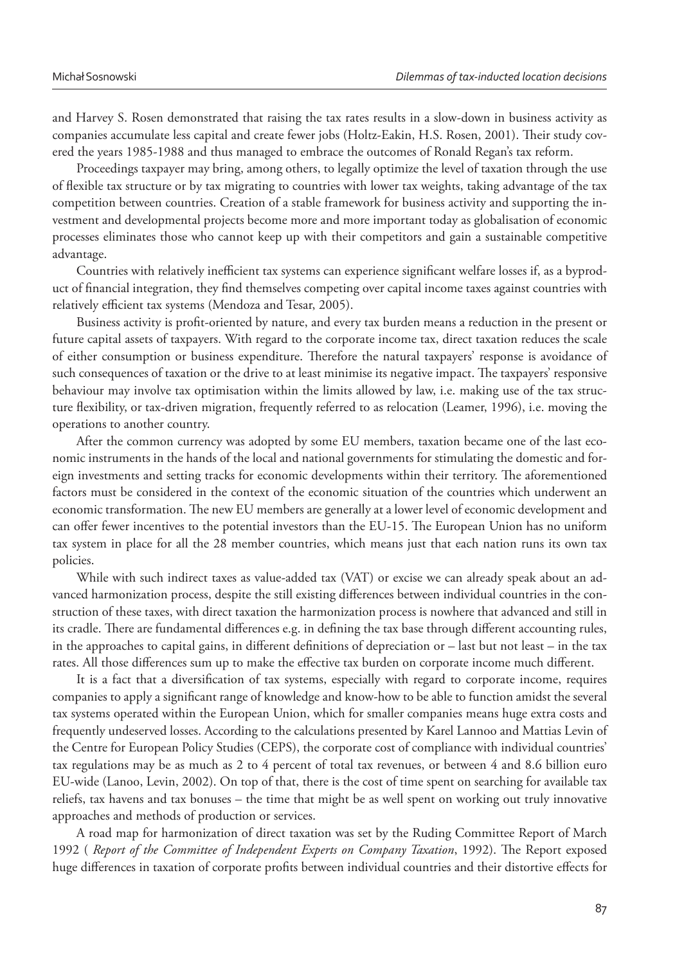and Harvey S. Rosen demonstrated that raising the tax rates results in a slow-down in business activity as companies accumulate less capital and create fewer jobs (Holtz-Eakin, H.S. Rosen, 2001). Their study covered the years 1985-1988 and thus managed to embrace the outcomes of Ronald Regan's tax reform.

Proceedings taxpayer may bring, among others, to legally optimize the level of taxation through the use of flexible tax structure or by tax migrating to countries with lower tax weights, taking advantage of the tax competition between countries. Creation of a stable framework for business activity and supporting the investment and developmental projects become more and more important today as globalisation of economic processes eliminates those who cannot keep up with their competitors and gain a sustainable competitive advantage.

Countries with relatively inefficient tax systems can experience significant welfare losses if, as a byproduct of financial integration, they find themselves competing over capital income taxes against countries with relatively efficient tax systems (Mendoza and Tesar, 2005).

Business activity is profit-oriented by nature, and every tax burden means a reduction in the present or future capital assets of taxpayers. With regard to the corporate income tax, direct taxation reduces the scale of either consumption or business expenditure. Therefore the natural taxpayers' response is avoidance of such consequences of taxation or the drive to at least minimise its negative impact. The taxpayers' responsive behaviour may involve tax optimisation within the limits allowed by law, i.e. making use of the tax structure flexibility, or tax-driven migration, frequently referred to as relocation (Leamer, 1996), i.e. moving the operations to another country.

After the common currency was adopted by some EU members, taxation became one of the last economic instruments in the hands of the local and national governments for stimulating the domestic and foreign investments and setting tracks for economic developments within their territory. The aforementioned factors must be considered in the context of the economic situation of the countries which underwent an economic transformation. The new EU members are generally at a lower level of economic development and can offer fewer incentives to the potential investors than the EU-15. The European Union has no uniform tax system in place for all the 28 member countries, which means just that each nation runs its own tax policies.

While with such indirect taxes as value-added tax (VAT) or excise we can already speak about an advanced harmonization process, despite the still existing differences between individual countries in the construction of these taxes, with direct taxation the harmonization process is nowhere that advanced and still in its cradle. There are fundamental differences e.g. in defining the tax base through different accounting rules, in the approaches to capital gains, in different definitions of depreciation or  $-$  last but not least  $-$  in the tax rates. All those differences sum up to make the effective tax burden on corporate income much different.

It is a fact that a diversification of tax systems, especially with regard to corporate income, requires companies to apply a significant range of knowledge and know-how to be able to function amidst the several tax systems operated within the European Union, which for smaller companies means huge extra costs and frequently undeserved losses. According to the calculations presented by Karel Lannoo and Mattias Levin of the Centre for European Policy Studies (CEPS), the corporate cost of compliance with individual countries' tax regulations may be as much as 2 to 4 percent of total tax revenues, or between 4 and 8.6 billion euro EU-wide (Lanoo, Levin, 2002). On top of that, there is the cost of time spent on searching for available tax reliefs, tax havens and tax bonuses – the time that might be as well spent on working out truly innovative approaches and methods of production or services.

A road map for harmonization of direct taxation was set by the Ruding Committee Report of March 1992 ( *Report of the Committee of Independent Experts on Company Taxation*, 1992). The Report exposed huge differences in taxation of corporate profits between individual countries and their distortive effects for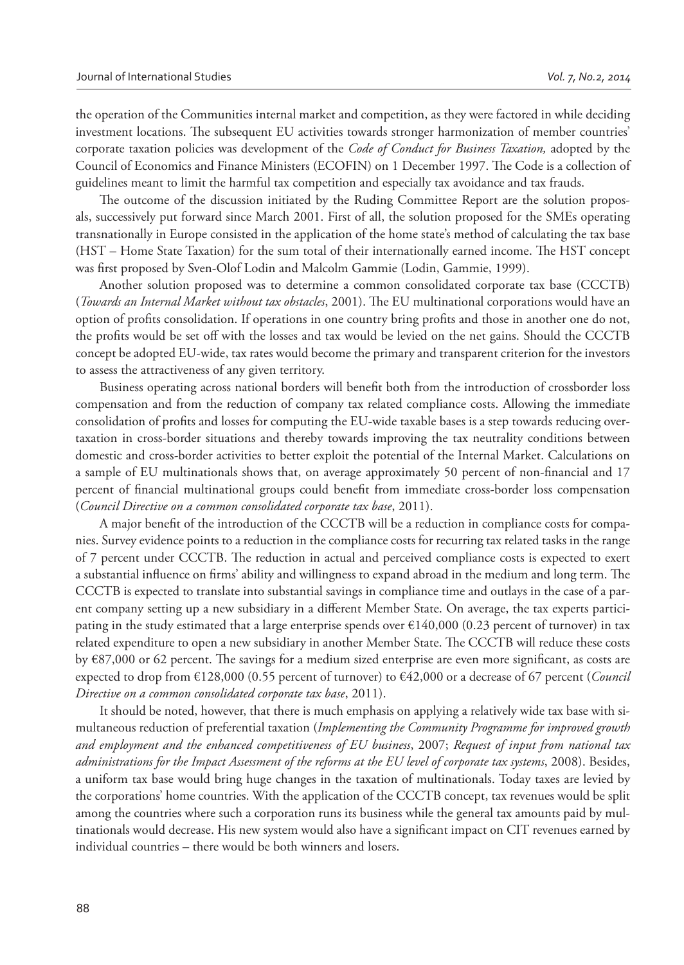the operation of the Communities internal market and competition, as they were factored in while deciding investment locations. The subsequent EU activities towards stronger harmonization of member countries' corporate taxation policies was development of the *Code of Conduct for Business Taxation,* adopted by the Council of Economics and Finance Ministers (ECOFIN) on 1 December 1997. The Code is a collection of guidelines meant to limit the harmful tax competition and especially tax avoidance and tax frauds.

The outcome of the discussion initiated by the Ruding Committee Report are the solution proposals, successively put forward since March 2001. First of all, the solution proposed for the SMEs operating transnationally in Europe consisted in the application of the home state's method of calculating the tax base (HST – Home State Taxation) for the sum total of their internationally earned income. The HST concept was first proposed by Sven-Olof Lodin and Malcolm Gammie (Lodin, Gammie, 1999).

Another solution proposed was to determine a common consolidated corporate tax base (CCCTB) (*Towards an Internal Market without tax obstacles*, 2001). The EU multinational corporations would have an option of profits consolidation. If operations in one country bring profits and those in another one do not, the profits would be set off with the losses and tax would be levied on the net gains. Should the CCCTB concept be adopted EU-wide, tax rates would become the primary and transparent criterion for the investors to assess the attractiveness of any given territory.

Business operating across national borders will benefit both from the introduction of crossborder loss compensation and from the reduction of company tax related compliance costs. Allowing the immediate consolidation of profits and losses for computing the EU-wide taxable bases is a step towards reducing overtaxation in cross-border situations and thereby towards improving the tax neutrality conditions between domestic and cross-border activities to better exploit the potential of the Internal Market. Calculations on a sample of EU multinationals shows that, on average approximately 50 percent of non-financial and 17 percent of financial multinational groups could benefit from immediate cross-border loss compensation (*Council Directive on a common consolidated corporate tax base*, 2011).

A major benefit of the introduction of the CCCTB will be a reduction in compliance costs for companies. Survey evidence points to a reduction in the compliance costs for recurring tax related tasks in the range of 7 percent under CCCTB. The reduction in actual and perceived compliance costs is expected to exert a substantial influence on firms' ability and willingness to expand abroad in the medium and long term. The CCCTB is expected to translate into substantial savings in compliance time and outlays in the case of a parent company setting up a new subsidiary in a different Member State. On average, the tax experts participating in the study estimated that a large enterprise spends over  $\epsilon$ 140,000 (0.23 percent of turnover) in tax related expenditure to open a new subsidiary in another Member State. The CCCTB will reduce these costs by  $E87,000$  or 62 percent. The savings for a medium sized enterprise are even more significant, as costs are expected to drop from €128,000 (0.55 percent of turnover) to €42,000 or a decrease of 67 percent (*Council Directive on a common consolidated corporate tax base*, 2011).

It should be noted, however, that there is much emphasis on applying a relatively wide tax base with simultaneous reduction of preferential taxation (*Implementing the Community Programme for improved growth and employment and the enhanced competitiveness of EU business*, 2007; *Request of input from national tax administrations for the Impact Assessment of the reforms at the EU level of corporate tax systems*, 2008). Besides, a uniform tax base would bring huge changes in the taxation of multinationals. Today taxes are levied by the corporations' home countries. With the application of the CCCTB concept, tax revenues would be split among the countries where such a corporation runs its business while the general tax amounts paid by multinationals would decrease. His new system would also have a significant impact on CIT revenues earned by individual countries – there would be both winners and losers.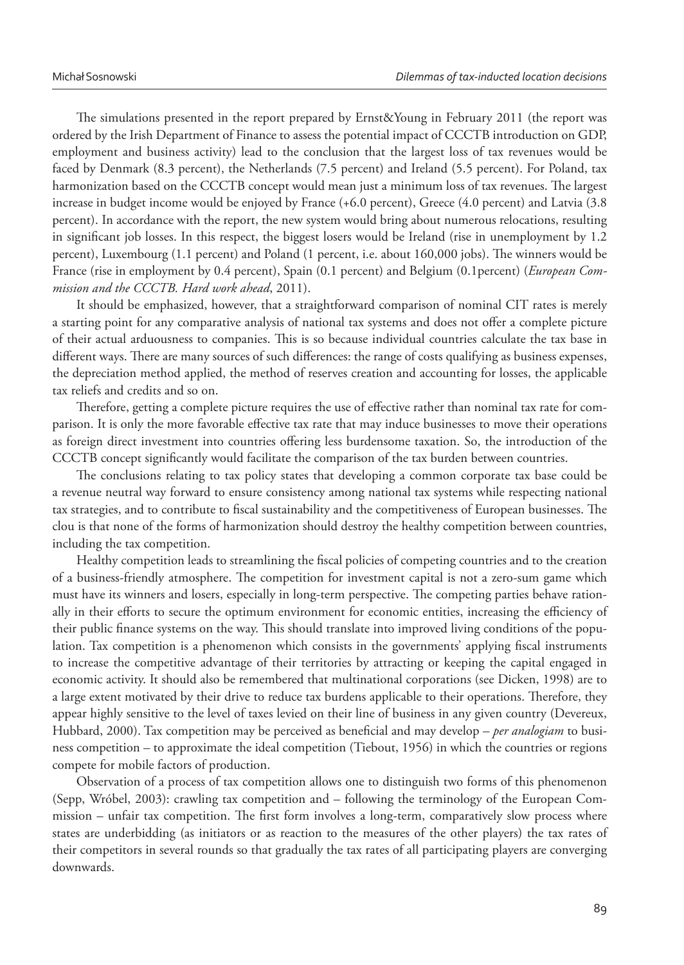The simulations presented in the report prepared by Ernst&Young in February 2011 (the report was ordered by the Irish Department of Finance to assess the potential impact of CCCTB introduction on GDP, employment and business activity) lead to the conclusion that the largest loss of tax revenues would be faced by Denmark (8.3 percent), the Netherlands (7.5 percent) and Ireland (5.5 percent). For Poland, tax harmonization based on the CCCTB concept would mean just a minimum loss of tax revenues. The largest increase in budget income would be enjoyed by France (+6.0 percent), Greece (4.0 percent) and Latvia (3.8 percent). In accordance with the report, the new system would bring about numerous relocations, resulting in significant job losses. In this respect, the biggest losers would be Ireland (rise in unemployment by 1.2) percent), Luxembourg (1.1 percent) and Poland (1 percent, i.e. about 160,000 jobs). The winners would be France (rise in employment by 0.4 percent), Spain (0.1 percent) and Belgium (0.1percent) (*European Commission and the CCCTB. Hard work ahead*, 2011).

It should be emphasized, however, that a straightforward comparison of nominal CIT rates is merely a starting point for any comparative analysis of national tax systems and does not offer a complete picture of their actual arduousness to companies. This is so because individual countries calculate the tax base in different ways. There are many sources of such differences: the range of costs qualifying as business expenses, the depreciation method applied, the method of reserves creation and accounting for losses, the applicable tax reliefs and credits and so on.

Therefore, getting a complete picture requires the use of effective rather than nominal tax rate for comparison. It is only the more favorable effective tax rate that may induce businesses to move their operations as foreign direct investment into countries offering less burdensome taxation. So, the introduction of the CCCTB concept significantly would facilitate the comparison of the tax burden between countries.

The conclusions relating to tax policy states that developing a common corporate tax base could be a revenue neutral way forward to ensure consistency among national tax systems while respecting national tax strategies, and to contribute to fiscal sustainability and the competitiveness of European businesses. The clou is that none of the forms of harmonization should destroy the healthy competition between countries, including the tax competition.

Healthy competition leads to streamlining the fiscal policies of competing countries and to the creation of a business-friendly atmosphere. The competition for investment capital is not a zero-sum game which must have its winners and losers, especially in long-term perspective. The competing parties behave rationally in their efforts to secure the optimum environment for economic entities, increasing the efficiency of their public finance systems on the way. This should translate into improved living conditions of the population. Tax competition is a phenomenon which consists in the governments' applying fiscal instruments to increase the competitive advantage of their territories by attracting or keeping the capital engaged in economic activity. It should also be remembered that multinational corporations (see Dicken, 1998) are to a large extent motivated by their drive to reduce tax burdens applicable to their operations. Therefore, they appear highly sensitive to the level of taxes levied on their line of business in any given country (Devereux, Hubbard, 2000). Tax competition may be perceived as beneficial and may develop – *per analogiam* to business competition – to approximate the ideal competition (Tiebout, 1956) in which the countries or regions compete for mobile factors of production.

Observation of a process of tax competition allows one to distinguish two forms of this phenomenon (Sepp, Wróbel, 2003): crawling tax competition and – following the terminology of the European Commission – unfair tax competition. The first form involves a long-term, comparatively slow process where states are underbidding (as initiators or as reaction to the measures of the other players) the tax rates of their competitors in several rounds so that gradually the tax rates of all participating players are converging downwards.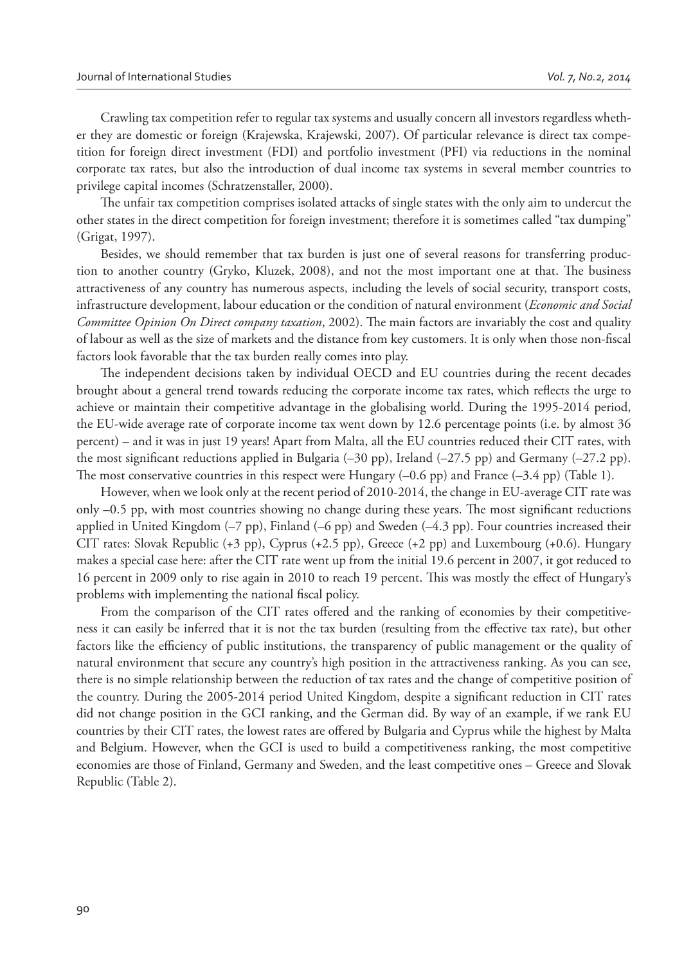Crawling tax competition refer to regular tax systems and usually concern all investors regardless whether they are domestic or foreign (Krajewska, Krajewski, 2007). Of particular relevance is direct tax competition for foreign direct investment (FDI) and portfolio investment (PFI) via reductions in the nominal corporate tax rates, but also the introduction of dual income tax systems in several member countries to privilege capital incomes (Schratzenstaller, 2000).

The unfair tax competition comprises isolated attacks of single states with the only aim to undercut the other states in the direct competition for foreign investment; therefore it is sometimes called "tax dumping" (Grigat, 1997).

Besides, we should remember that tax burden is just one of several reasons for transferring production to another country (Gryko, Kluzek, 2008), and not the most important one at that. The business attractiveness of any country has numerous aspects, including the levels of social security, transport costs, infrastructure development, labour education or the condition of natural environment (*Economic and Social Committee Opinion On Direct company taxation*, 2002). The main factors are invariably the cost and quality of labour as well as the size of markets and the distance from key customers. It is only when those non-fiscal factors look favorable that the tax burden really comes into play.

The independent decisions taken by individual OECD and EU countries during the recent decades brought about a general trend towards reducing the corporate income tax rates, which reflects the urge to achieve or maintain their competitive advantage in the globalising world. During the 1995-2014 period, the EU-wide average rate of corporate income tax went down by 12.6 percentage points (i.e. by almost 36 percent) – and it was in just 19 years! Apart from Malta, all the EU countries reduced their CIT rates, with the most significant reductions applied in Bulgaria (–30 pp), Ireland (–27.5 pp) and Germany (–27.2 pp). The most conservative countries in this respect were Hungary  $(-0.6$  pp) and France  $(-3.4$  pp) (Table 1).

However, when we look only at the recent period of 2010-2014, the change in EU-average CIT rate was only –0.5 pp, with most countries showing no change during these years. The most significant reductions applied in United Kingdom (–7 pp), Finland (–6 pp) and Sweden (–4.3 pp). Four countries increased their CIT rates: Slovak Republic (+3 pp), Cyprus (+2.5 pp), Greece (+2 pp) and Luxembourg (+0.6). Hungary makes a special case here: after the CIT rate went up from the initial 19.6 percent in 2007, it got reduced to 16 percent in 2009 only to rise again in 2010 to reach 19 percent. This was mostly the effect of Hungary's problems with implementing the national fiscal policy.

From the comparison of the CIT rates offered and the ranking of economies by their competitiveness it can easily be inferred that it is not the tax burden (resulting from the effective tax rate), but other factors like the efficiency of public institutions, the transparency of public management or the quality of natural environment that secure any country's high position in the attractiveness ranking. As you can see, there is no simple relationship between the reduction of tax rates and the change of competitive position of the country. During the 2005-2014 period United Kingdom, despite a significant reduction in CIT rates did not change position in the GCI ranking, and the German did. By way of an example, if we rank EU countries by their CIT rates, the lowest rates are offered by Bulgaria and Cyprus while the highest by Malta and Belgium. However, when the GCI is used to build a competitiveness ranking, the most competitive economies are those of Finland, Germany and Sweden, and the least competitive ones – Greece and Slovak Republic (Table 2).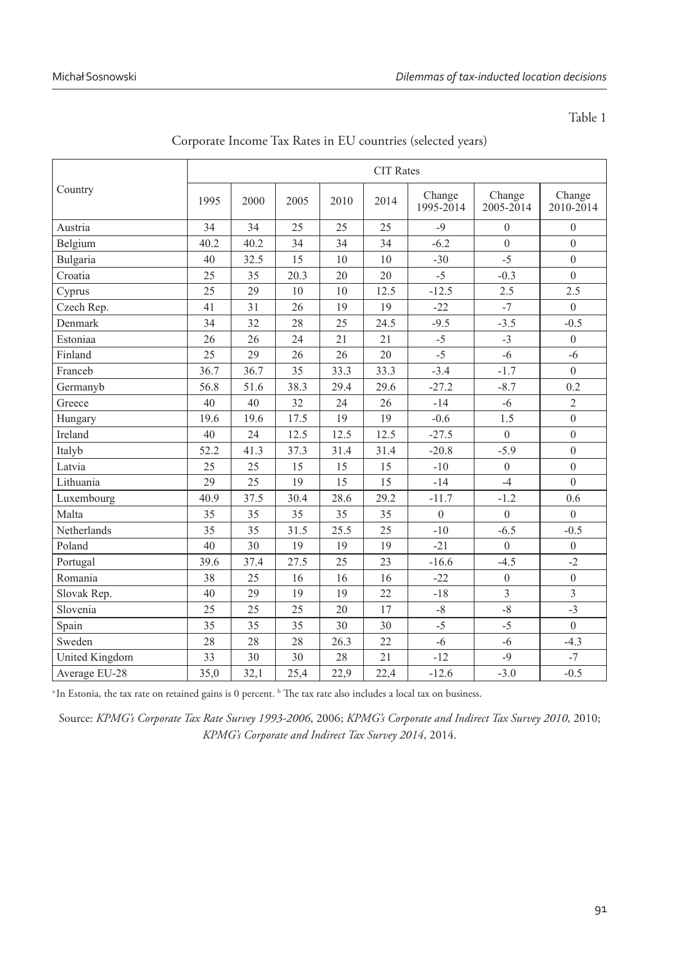Table 1

| Country               | <b>CIT Rates</b> |      |      |      |      |                     |                     |                     |  |
|-----------------------|------------------|------|------|------|------|---------------------|---------------------|---------------------|--|
|                       | 1995             | 2000 | 2005 | 2010 | 2014 | Change<br>1995-2014 | Change<br>2005-2014 | Change<br>2010-2014 |  |
| Austria               | 34               | 34   | 25   | 25   | 25   | $-9$                | $\theta$            | $\overline{0}$      |  |
| Belgium               | 40.2             | 40.2 | 34   | 34   | 34   | $-6.2$              | $\theta$            | $\mathbf{0}$        |  |
| Bulgaria              | 40               | 32.5 | 15   | 10   | 10   | $-30$               | $-5$                | $\overline{0}$      |  |
| Croatia               | 25               | 35   | 20.3 | 20   | 20   | $-5$                | $-0.3$              | $\overline{0}$      |  |
| Cyprus                | 25               | 29   | 10   | 10   | 12.5 | $-12.5$             | 2.5                 | 2.5                 |  |
| Czech Rep.            | 41               | 31   | 26   | 19   | 19   | $-22$               | $-7$                | $\overline{0}$      |  |
| Denmark               | 34               | 32   | 28   | 25   | 24.5 | $-9.5$              | $-3.5$              | $-0.5$              |  |
| Estoniaa              | 26               | 26   | 24   | 21   | 21   | $-5$                | $-3$                | $\overline{0}$      |  |
| Finland               | 25               | 29   | 26   | 26   | 20   | $-5$                | $-6$                | $-6$                |  |
| Franceb               | 36.7             | 36.7 | 35   | 33.3 | 33.3 | $-3.4$              | $-1.7$              | $\overline{0}$      |  |
| Germanyb              | 56.8             | 51.6 | 38.3 | 29.4 | 29.6 | $-27.2$             | $-8.7$              | 0.2                 |  |
| Greece                | 40               | 40   | 32   | 24   | 26   | $-14$               | $-6$                | $\overline{2}$      |  |
| Hungary               | 19.6             | 19.6 | 17.5 | 19   | 19   | $-0.6$              | 1.5                 | $\boldsymbol{0}$    |  |
| Ireland               | 40               | 24   | 12.5 | 12.5 | 12.5 | $-27.5$             | $\overline{0}$      | $\overline{0}$      |  |
| Italyb                | 52.2             | 41.3 | 37.3 | 31.4 | 31.4 | $-20.8$             | $-5.9$              | $\boldsymbol{0}$    |  |
| Latvia                | 25               | 25   | 15   | 15   | 15   | $-10$               | $\theta$            | $\overline{0}$      |  |
| Lithuania             | 29               | 25   | 19   | 15   | 15   | $-14$               | $-4$                | $\overline{0}$      |  |
| Luxembourg            | 40.9             | 37.5 | 30.4 | 28.6 | 29.2 | $-11.7$             | $-1.2$              | 0.6                 |  |
| Malta                 | 35               | 35   | 35   | 35   | 35   | $\mathbf{0}$        | $\mathbf{0}$        | $\overline{0}$      |  |
| Netherlands           | 35               | 35   | 31.5 | 25.5 | 25   | $-10$               | $-6.5$              | $-0.5$              |  |
| Poland                | 40               | 30   | 19   | 19   | 19   | $-21$               | $\mathbf{0}$        | $\boldsymbol{0}$    |  |
| Portugal              | 39.6             | 37.4 | 27.5 | 25   | 23   | $-16.6$             | $-4.5$              | $-2$                |  |
| Romania               | 38               | 25   | 16   | 16   | 16   | $-22$               | $\overline{0}$      | $\boldsymbol{0}$    |  |
| Slovak Rep.           | 40               | 29   | 19   | 19   | 22   | $-18$               | $\overline{3}$      | $\overline{3}$      |  |
| Slovenia              | 25               | 25   | 25   | 20   | 17   | $-8$                | $-8$                | $-3$                |  |
| Spain                 | 35               | 35   | 35   | 30   | 30   | $-5$                | $-5$                | $\overline{0}$      |  |
| Sweden                | 28               | 28   | 28   | 26.3 | 22   | $-6$                | $-6$                | $-4.3$              |  |
| <b>United Kingdom</b> | 33               | 30   | 30   | 28   | 21   | $-12$               | $-9$                | $-7$                |  |
| Average EU-28         | 35.0             | 32.1 | 25.4 | 22,9 | 22.4 | $-12.6$             | $-3.0$              | $-0.5$              |  |

Corporate Income Tax Rates in EU countries (selected years)

<sup>a</sup>In Estonia, the tax rate on retained gains is 0 percent. <sup>b</sup> The tax rate also includes a local tax on business.

Source: *KPMG's Corporate Tax Rate Survey 1993-2006*, 2006; *KPMG's Corporate and Indirect Tax Survey 2010*, 2010; *KPMG's Corporate and Indirect Tax Survey 2014*, 2014.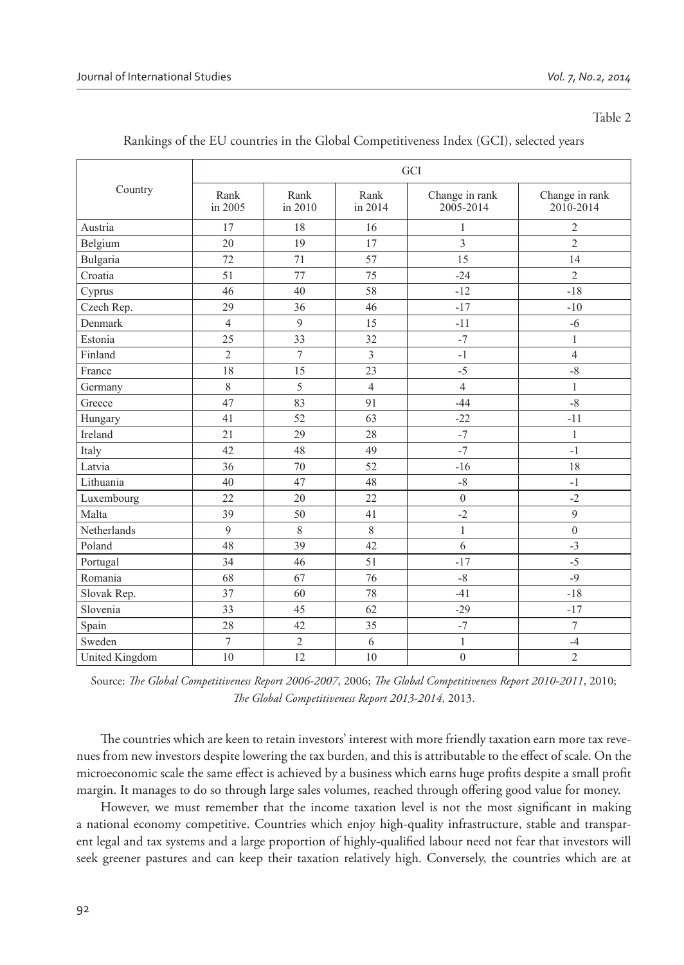#### Table 2

| Country        | GCI                      |                 |                 |                             |                             |  |  |  |  |
|----------------|--------------------------|-----------------|-----------------|-----------------------------|-----------------------------|--|--|--|--|
|                | Rank<br>in 2005          | Rank<br>in 2010 | Rank<br>in 2014 | Change in rank<br>2005-2014 | Change in rank<br>2010-2014 |  |  |  |  |
| Austria        | 17                       | 18              | 16              | $\mathbf{1}$                | $\overline{2}$              |  |  |  |  |
| Belgium        | 20                       | 19              | 17              | 3                           | $\overline{2}$              |  |  |  |  |
| Bulgaria       | 72                       | 71              | 57              | 15                          | 14                          |  |  |  |  |
| Croatia        | 51                       | 77              | 75              | $-24$                       | $\overline{2}$              |  |  |  |  |
| Cyprus         | 46                       | 40              | 58              | $-12$                       | $-18$                       |  |  |  |  |
| Czech Rep.     | 29                       | 36              | 46              | $-17$                       | $-10$                       |  |  |  |  |
| Denmark        | $\overline{4}$           | 9               | 15              | $-11$                       | $-6$                        |  |  |  |  |
| Estonia        | 25                       | 33              | 32              | $-7$                        | $\mathbf{1}$                |  |  |  |  |
| Finland        | $\overline{2}$           | $\tau$          | $\overline{3}$  | $-1$                        | $\overline{4}$              |  |  |  |  |
| France         | 18                       | 15              | 23              | $-5$                        | $-8$                        |  |  |  |  |
| Germany        | 8                        | 5               | $\overline{4}$  | $\overline{4}$              | $\mathbf{1}$                |  |  |  |  |
| Greece         | 47                       | 83              | 91              | $-44$                       | $-8$                        |  |  |  |  |
| Hungary        | 41                       | 52              | 63              | $-22$                       | $-11$                       |  |  |  |  |
| Ireland        | 21                       | 29              | 28              | $-7$                        | $\mathbf{1}$                |  |  |  |  |
| Italy          | 42                       | 48              | 49              | $-7$                        | $-1$                        |  |  |  |  |
| Latvia         | 36                       | 70              | 52              | $-16$                       | 18                          |  |  |  |  |
| Lithuania      | 40                       | 47              | 48              | $-8$                        | $-1$                        |  |  |  |  |
| Luxembourg     | 22                       | 20              | 22              | $\overline{0}$              | $-2$                        |  |  |  |  |
| Malta          | 39                       | 50              | 41              | $-2$                        | $\mathfrak{g}$              |  |  |  |  |
| Netherlands    | $\mathbf{Q}$             | $\,$ 8 $\,$     | 8               | $\mathbf{1}$                | $\theta$                    |  |  |  |  |
| Poland         | 48                       | 39              | 42              | 6                           | $-3$                        |  |  |  |  |
| Portugal       | 34                       | 46              | 51              | $-17$                       | $-5$                        |  |  |  |  |
| Romania        | 68                       | 67              | 76              | $-8$                        | $-9$                        |  |  |  |  |
| Slovak Rep.    | 37                       | 60              | 78              | $-41$                       | $-18$                       |  |  |  |  |
| Slovenia       | 33                       | 45              | 62              | $-29$                       | $-17$                       |  |  |  |  |
| Spain          | 28                       | 42              | 35              | $-7$                        | $\overline{7}$              |  |  |  |  |
| Sweden         | $\overline{\mathcal{I}}$ | $\sqrt{2}$      | 6               | $\mathbf{1}$                | $-4$                        |  |  |  |  |
| United Kingdom | 10                       | 12              | 10              | $\overline{0}$              | $\overline{2}$              |  |  |  |  |

Rankings of the EU countries in the Global Competitiveness Index (GCI), selected years

Source: *The Global Competitiveness Report 2006-2007*, 2006; *The Global Competitiveness Report 2010-2011*, 2010; *# e Global Competitiveness Report 2013-2014*, 2013.

The countries which are keen to retain investors' interest with more friendly taxation earn more tax revenues from new investors despite lowering the tax burden, and this is attributable to the effect of scale. On the microeconomic scale the same effect is achieved by a business which earns huge profits despite a small profit margin. It manages to do so through large sales volumes, reached through offering good value for money.

However, we must remember that the income taxation level is not the most significant in making a national economy competitive. Countries which enjoy high-quality infrastructure, stable and transparent legal and tax systems and a large proportion of highly-qualified labour need not fear that investors will seek greener pastures and can keep their taxation relatively high. Conversely, the countries which are at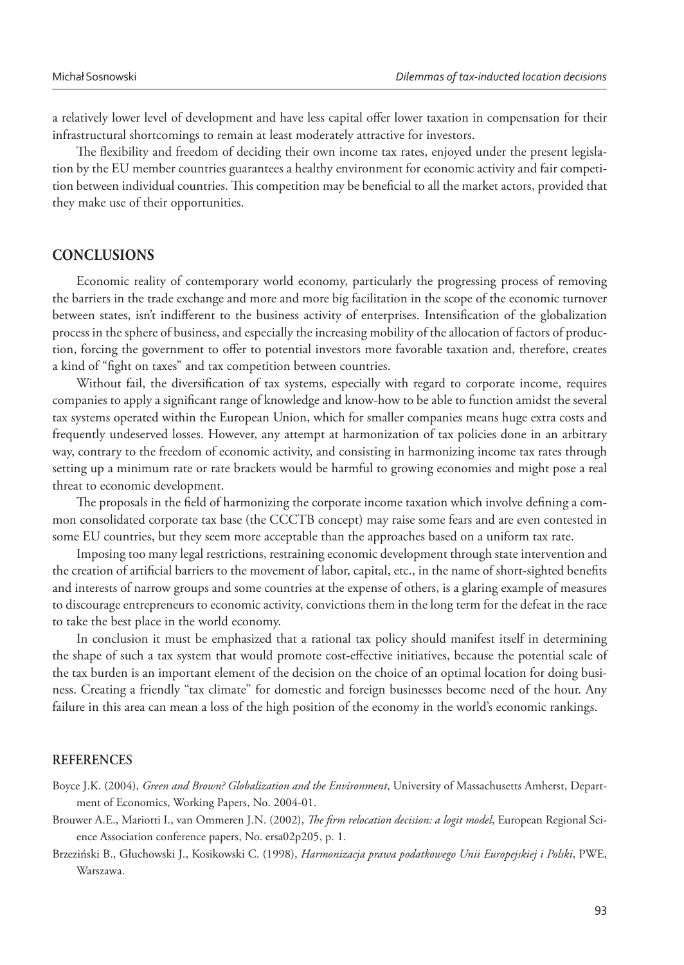a relatively lower level of development and have less capital offer lower taxation in compensation for their infrastructural shortcomings to remain at least moderately attractive for investors.

The flexibility and freedom of deciding their own income tax rates, enjoyed under the present legislation by the EU member countries guarantees a healthy environment for economic activity and fair competition between individual countries. This competition may be beneficial to all the market actors, provided that they make use of their opportunities.

## **CONCLUSIONS**

Economic reality of contemporary world economy, particularly the progressing process of removing the barriers in the trade exchange and more and more big facilitation in the scope of the economic turnover between states, isn't indifferent to the business activity of enterprises. Intensification of the globalization process in the sphere of business, and especially the increasing mobility of the allocation of factors of production, forcing the government to offer to potential investors more favorable taxation and, therefore, creates a kind of "fight on taxes" and tax competition between countries.

Without fail, the diversification of tax systems, especially with regard to corporate income, requires companies to apply a significant range of knowledge and know-how to be able to function amidst the several tax systems operated within the European Union, which for smaller companies means huge extra costs and frequently undeserved losses. However, any attempt at harmonization of tax policies done in an arbitrary way, contrary to the freedom of economic activity, and consisting in harmonizing income tax rates through setting up a minimum rate or rate brackets would be harmful to growing economies and might pose a real threat to economic development.

The proposals in the field of harmonizing the corporate income taxation which involve defining a common consolidated corporate tax base (the CCCTB concept) may raise some fears and are even contested in some EU countries, but they seem more acceptable than the approaches based on a uniform tax rate.

Imposing too many legal restrictions, restraining economic development through state intervention and the creation of artificial barriers to the movement of labor, capital, etc., in the name of short-sighted benefits and interests of narrow groups and some countries at the expense of others, is a glaring example of measures to discourage entrepreneurs to economic activity, convictions them in the long term for the defeat in the race to take the best place in the world economy.

In conclusion it must be emphasized that a rational tax policy should manifest itself in determining the shape of such a tax system that would promote cost-effective initiatives, because the potential scale of the tax burden is an important element of the decision on the choice of an optimal location for doing business. Creating a friendly "tax climate" for domestic and foreign businesses become need of the hour. Any failure in this area can mean a loss of the high position of the economy in the world's economic rankings.

## **REFERENCES**

- Brouwer A.E., Mariotti I., van Ommeren J.N. (2002), *The firm relocation decision: a logit model*, European Regional Science Association conference papers, No. ersa02p205, p. 1.
- Brzeziński B., Głuchowski J., Kosikowski C. (1998), *Harmonizacja prawa podatkowego Unii Europejskiej i Polski*, PWE, Warszawa.

Boyce J.K. (2004), *Green and Brown? Globalization and the Environment*, University of Massachusetts Amherst, Department of Economics, Working Papers, No. 2004-01.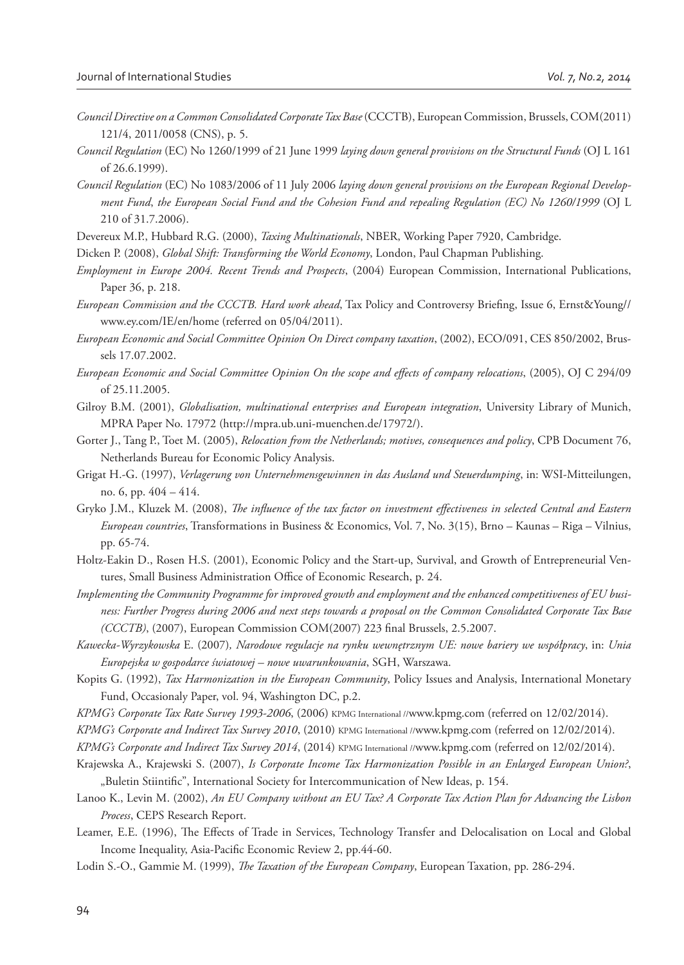- *Council Directive on a Common Consolidated Corporate Tax Base* (CCCTB), European Commission, Brussels, COM(2011) 121/4, 2011/0058 (CNS), p. 5.
- *Council Regulation* (EC) No 1260/1999 of 21 June 1999 *laying down general provisions on the Structural Funds* (OJ L 161 of 26.6.1999).
- *Council Regulation* (EC) No 1083/2006 of 11 July 2006 *laying down general provisions on the European Regional Development Fund*, *the European Social Fund and the Cohesion Fund and repealing Regulation (EC) No 1260/1999* (OJ L 210 of 31.7.2006).
- Devereux M.P., Hubbard R.G. (2000), *Taxing Multinationals*, NBER, Working Paper 7920, Cambridge.
- Dicken P. (2008), *Global Shift: Transforming the World Economy*, London, Paul Chapman Publishing.
- *Employment in Europe 2004. Recent Trends and Prospects*, (2004) European Commission, International Publications, Paper 36, p. 218.
- *European Commission and the CCCTB. Hard work ahead*, Tax Policy and Controversy Briefing, Issue 6, Ernst&Young// www.ey.com/IE/en/home (referred on 05/04/2011).
- *European Economic and Social Committee Opinion On Direct company taxation*, (2002), ECO/091, CES 850/2002, Brussels 17.07.2002.
- *European Economic and Social Committee Opinion On the scope and effects of company relocations*, (2005), OJ C 294/09 of 25.11.2005.
- Gilroy B.M. (2001), *Globalisation, multinational enterprises and European integration*, University Library of Munich, MPRA Paper No. 17972 (http://mpra.ub.uni-muenchen.de/17972/).
- Gorter J., Tang P., Toet M. (2005), *Relocation from the Netherlands; motives, consequences and policy*, CPB Document 76, Netherlands Bureau for Economic Policy Analysis.
- Grigat H.-G. (1997), *Verlagerung von Unternehmensgewinnen in das Ausland und Steuerdumping*, in: WSI-Mitteilungen, no. 6, pp. 404 – 414.
- Gryko J.M., Kluzek M. (2008), *The influence of the tax factor on investment effectiveness in selected Central and Eastern European countries*, Transformations in Business & Economics, Vol. 7, No. 3(15), Brno – Kaunas – Riga – Vilnius, pp. 65-74.
- Holtz-Eakin D., Rosen H.S. (2001), Economic Policy and the Start-up, Survival, and Growth of Entrepreneurial Ventures, Small Business Administration Office of Economic Research, p. 24.
- *Implementing the Community Programme for improved growth and employment and the enhanced competitiveness of EU business: Further Progress during 2006 and next steps towards a proposal on the Common Consolidated Corporate Tax Base (CCCTB)*, (2007), European Commission COM(2007) 223 final Brussels, 2.5.2007.
- *Kawecka-Wyrzykowska* E. (2007)*, Narodowe regulacje na rynku wewnętrznym UE: nowe bariery we współpracy*, in: *Unia Europejska w gospodarce światowej – nowe uwarunkowania*, SGH, Warszawa.
- Kopits G. (1992), *Tax Harmonization in the European Community*, Policy Issues and Analysis, International Monetary Fund, Occasionaly Paper, vol. 94, Washington DC, p.2.
- *KPMG's Corporate Tax Rate Survey 1993-2006*, (2006) KPMG International //www.kpmg.com (referred on 12/02/2014).
- *KPMG's Corporate and Indirect Tax Survey 2010*, (2010) KPMG International //www.kpmg.com (referred on 12/02/2014).
- *KPMG's Corporate and Indirect Tax Survey 2014*, (2014) KPMG International //www.kpmg.com (referred on 12/02/2014).
- Krajewska A., Krajewski S. (2007), *Is Corporate Income Tax Harmonization Possible in an Enlarged European Union?*, "Buletin Stiintific", International Society for Intercommunication of New Ideas, p. 154.
- Lanoo K., Levin M. (2002), *An EU Company without an EU Tax? A Corporate Tax Action Plan for Advancing the Lisbon Process*, CEPS Research Report.
- Leamer, E.E. (1996), The Effects of Trade in Services, Technology Transfer and Delocalisation on Local and Global Income Inequality, Asia-Pacific Economic Review 2, pp.44-60.
- Lodin S.-O., Gammie M. (1999), *The Taxation of the European Company*, European Taxation, pp. 286-294.